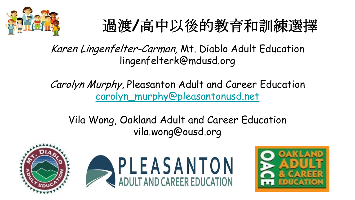

# 過渡**/**高中以後的教育和訓練選擇

Karen Lingenfelter-Carman, Mt. Diablo Adult Education lingenfelterk@mdusd.org

Carolyn Murphy, Pleasanton Adult and Career Education [carolyn\\_murphy@pleasantonusd.net](mailto:carolyn_murphy@pleasantonusd.net)

Vila Wong, Oakland Adult and Career Education vila.wong@ousd.org



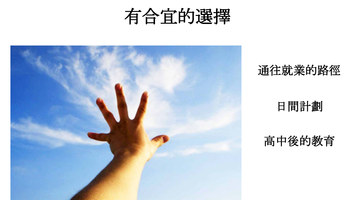



### 通往就業的路徑

#### 日間計劃

### 高中後的教育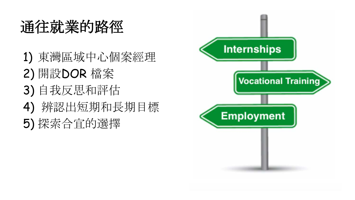# 通往就業的路徑

1) 東灣區域中心個案經理 2) 開設DOR 檔案 3) 自我反思和評估 4) 辨認出短期和長期目標 5) 探索合宜的選擇

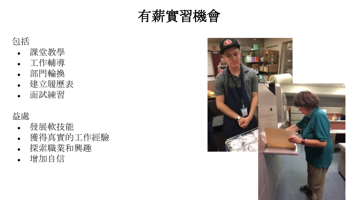

#### 包括

- 課堂教學
- 工作輔導
- 部門輪換
- 建立履歷表
- 面試練習

#### 益處

- 發展軟技能
- 獲得真實的工作經驗
- 探索職業和興趣
- 增加自信

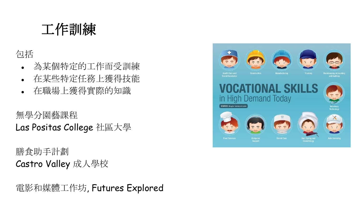### 工作訓練

包括

- 為某個特定的工作而受訓練
- 在某些特定任務上獲得技能
- 在職場上獲得實際的知識

無學分園藝課程 Las Positas College 社區大學

膳食助手計劃 Castro Valley 成人學校

電影和媒體工作坊, Futures Explored

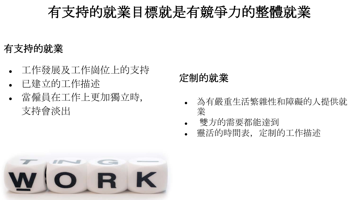## 有支持的就業目標就是有競爭力的整體就業

#### 有支持的就業

- 工作發展及工作崗位上的支持
- 已建立的工作描述
- 當僱員在工作上更加獨立時, 支持會淡出

### 定制的就業

- 為有嚴重生活繁雜性和障礙的人提供就 業
- 雙方的需要都能達到
- 靈活的時間表, 定制的工作描述

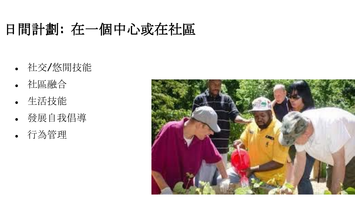# 日間計劃**:** 在一個中心或在社區

- 社交/悠閒技能
- 社區融合
- 生活技能
- 發展自我倡導
- 行為管理

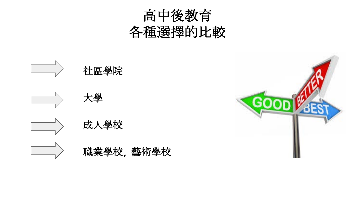



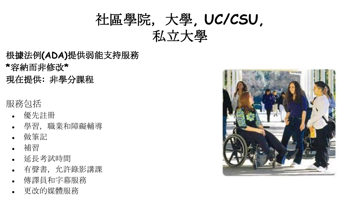# 社區學院,大學**, UC/CSU,**  私立大學

- 根據法例**(ADA)**提供弱能支持服務 **\***容納而非修改**\***
- 現在提供**:** 非學分課程

#### 服務包括

- 優先註冊
- 學習, 職業和障礙輔導
- 做筆記
- 補習
- 延長考試時間
- 有聲書,允許錄影講課
- 傳譯員和字幕服務
- 更改的媒體服務

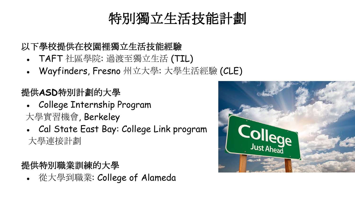# 特別獨立生活技能計劃

#### 以下學校提供在校園裡獨立生活技能經驗

- TAFT 社區學院: 過渡至獨立生活 (TIL)
- Wayfinders, Fresno 州立大學: 大學生活經驗 (CLE)

#### 提供**ASD**特別計劃的大學

- College Internship Program 大學實習機會, Berkeley
- Cal State East Bay: College Link program 大學連接計劃

#### 提供特別職業訓練的大學

● 從大學到職業: College of Alameda

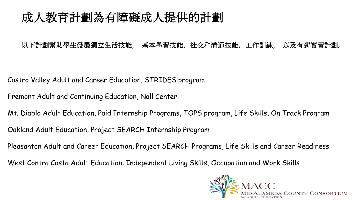### 成人教育計劃為有障礙成人提供的計劃

#### 以下計劃幫助學生發展獨立生活技能, 基本學習技能,社交和溝通技能,工作訓練, 以及有薪實習計劃。

Castro Valley Adult and Career Education, STRIDES program

Fremont Adult and Continuing Education, Noll Center

Mt. Diablo Adult Education, Paid Internship Programs, TOPS program, Life Skills, On Track Program

Oakland Adult Education, Project SEARCH Internship Program

Pleasanton Adult and Career Education, Project SEARCH Programs, Life Skills and Career Readiness

West Contra Costa Adult Education: Independent Living Skills, Occupation and Work Skills

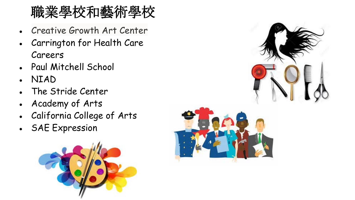# 職業學校和藝術學校

- Creative Growth Art Center
- Carrington for Health Care Careers
- Paul Mitchell School
- NIAD
- The Stride Center
- Academy of Arts
- California College of Arts
- SAE Expression